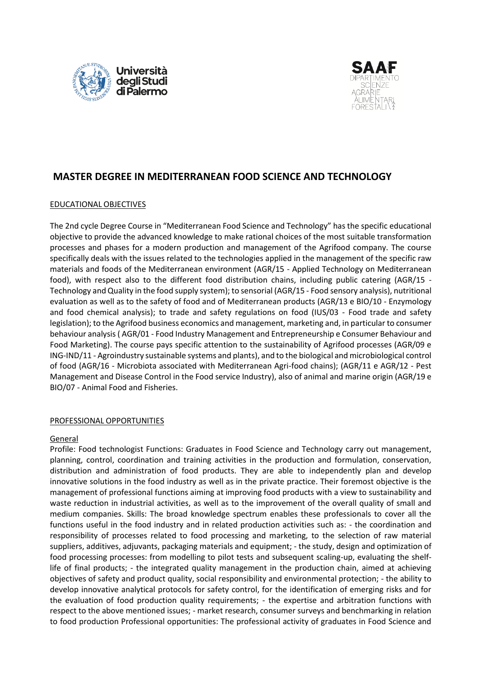



# **MASTER DEGREE IN MEDITERRANEAN FOOD SCIENCE AND TECHNOLOGY**

# EDUCATIONAL OBJECTIVES

The 2nd cycle Degree Course in "Mediterranean Food Science and Technology" has the specific educational objective to provide the advanced knowledge to make rational choices of the most suitable transformation processes and phases for a modern production and management of the Agrifood company. The course specifically deals with the issues related to the technologies applied in the management of the specific raw materials and foods of the Mediterranean environment (AGR/15 - Applied Technology on Mediterranean food), with respect also to the different food distribution chains, including public catering (AGR/15 - Technology and Quality in the food supply system); to sensorial (AGR/15 - Food sensory analysis), nutritional evaluation as well as to the safety of food and of Mediterranean products (AGR/13 e BIO/10 - Enzymology and food chemical analysis); to trade and safety regulations on food (IUS/03 - Food trade and safety legislation); to the Agrifood business economics and management, marketing and, in particular to consumer behaviour analysis ( AGR/01 - Food Industry Management and Entrepreneurship e Consumer Behaviour and Food Marketing). The course pays specific attention to the sustainability of Agrifood processes (AGR/09 e ING-IND/11 - Agroindustry sustainable systems and plants), and to the biological and microbiological control of food (AGR/16 - Microbiota associated with Mediterranean Agri-food chains); (AGR/11 e AGR/12 - Pest Management and Disease Control in the Food service Industry), also of animal and marine origin (AGR/19 e BIO/07 - Animal Food and Fisheries.

#### PROFESSIONAL OPPORTUNITIES

#### General

Profile: Food technologist Functions: Graduates in Food Science and Technology carry out management, planning, control, coordination and training activities in the production and formulation, conservation, distribution and administration of food products. They are able to independently plan and develop innovative solutions in the food industry as well as in the private practice. Their foremost objective is the management of professional functions aiming at improving food products with a view to sustainability and waste reduction in industrial activities, as well as to the improvement of the overall quality of small and medium companies. Skills: The broad knowledge spectrum enables these professionals to cover all the functions useful in the food industry and in related production activities such as: - the coordination and responsibility of processes related to food processing and marketing, to the selection of raw material suppliers, additives, adjuvants, packaging materials and equipment; - the study, design and optimization of food processing processes: from modelling to pilot tests and subsequent scaling-up, evaluating the shelflife of final products; - the integrated quality management in the production chain, aimed at achieving objectives of safety and product quality, social responsibility and environmental protection; - the ability to develop innovative analytical protocols for safety control, for the identification of emerging risks and for the evaluation of food production quality requirements; - the expertise and arbitration functions with respect to the above mentioned issues; - market research, consumer surveys and benchmarking in relation to food production Professional opportunities: The professional activity of graduates in Food Science and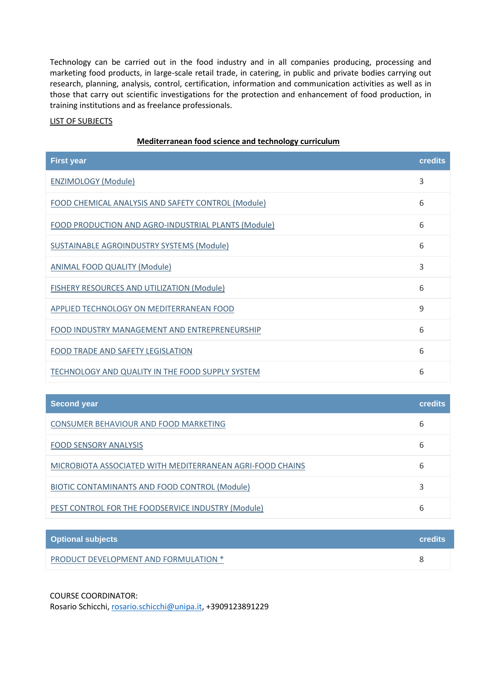Technology can be carried out in the food industry and in all companies producing, processing and marketing food products, in large-scale retail trade, in catering, in public and private bodies carrying out research, planning, analysis, control, certification, information and communication activities as well as in those that carry out scientific investigations for the protection and enhancement of food production, in training institutions and as freelance professionals.

# LIST OF SUBJECTS

| <b>First year</b>                                   | <b>credits</b> |
|-----------------------------------------------------|----------------|
| <b>ENZIMOLOGY (Module)</b>                          | 3              |
| FOOD CHEMICAL ANALYSIS AND SAFETY CONTROL (Module)  | 6              |
| FOOD PRODUCTION AND AGRO-INDUSTRIAL PLANTS (Module) | 6              |
| SUSTAINABLE AGROINDUSTRY SYSTEMS (Module)           | 6              |
| <b>ANIMAL FOOD QUALITY (Module)</b>                 | 3              |
| FISHERY RESOURCES AND UTILIZATION (Module)          | 6              |
| APPLIED TECHNOLOGY ON MEDITERRANEAN FOOD            | 9              |
| FOOD INDUSTRY MANAGEMENT AND ENTREPRENEURSHIP       | 6              |
| FOOD TRADE AND SAFETY LEGISLATION                   | 6              |
| TECHNOLOGY AND QUALITY IN THE FOOD SUPPLY SYSTEM    | 6              |

| Mediterranean food science and technology curriculum |  |
|------------------------------------------------------|--|
|------------------------------------------------------|--|

| Second year                                               | <b>credits</b> |
|-----------------------------------------------------------|----------------|
| CONSUMER BEHAVIOUR AND FOOD MARKETING                     | 6              |
| <b>FOOD SENSORY ANALYSIS</b>                              | 6              |
| MICROBIOTA ASSOCIATED WITH MEDITERRANEAN AGRI-FOOD CHAINS | 6              |
| BIOTIC CONTAMINANTS AND FOOD CONTROL (Module)             |                |
| PEST CONTROL FOR THE FOODSERVICE INDUSTRY (Module)        | b              |

| <b>Optional subjects</b>              | <b>credits</b> |
|---------------------------------------|----------------|
| PRODUCT DEVELOPMENT AND FORMULATION * |                |

#### COURSE COORDINATOR:

Rosario Schicchi, [rosario.schicchi@unipa.it,](mailto:rosario.schicchi@unipa.it) +3909123891229